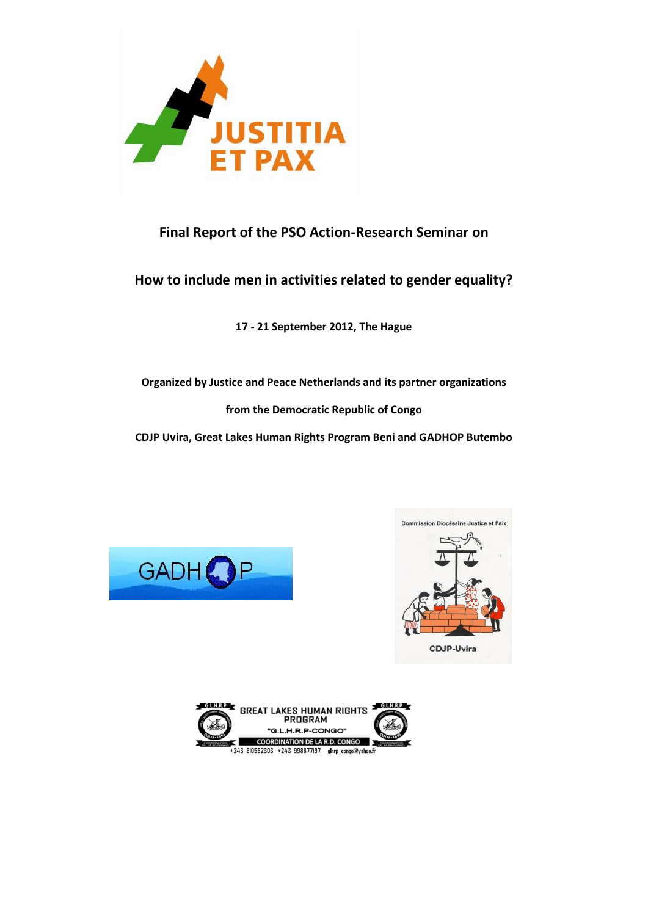

# **Final Report of the PSO Action-Research Seminar on**

# **How to include men in activities related to gender equality?**

**17 - 21 September 2012, The Hague**

**Organized by Justice and Peace Netherlands and its partner organizations** 

**from the Democratic Republic of Congo**

**CDJP Uvira, Great Lakes Human Rights Program Beni and GADHOP Butembo**





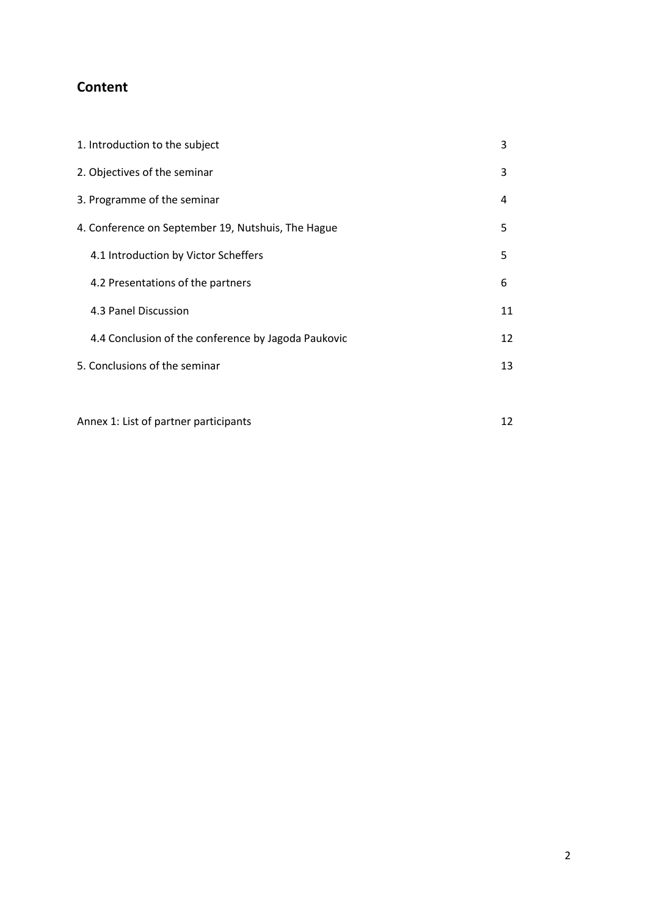# **Content**

| 1. Introduction to the subject                      | 3  |
|-----------------------------------------------------|----|
| 2. Objectives of the seminar                        | 3  |
| 3. Programme of the seminar                         | 4  |
| 4. Conference on September 19, Nutshuis, The Hague  | 5  |
| 4.1 Introduction by Victor Scheffers                | 5  |
| 4.2 Presentations of the partners                   | 6  |
| 4.3 Panel Discussion                                | 11 |
| 4.4 Conclusion of the conference by Jagoda Paukovic | 12 |
| 5. Conclusions of the seminar                       | 13 |
|                                                     |    |

Annex 1: List of partner participants 12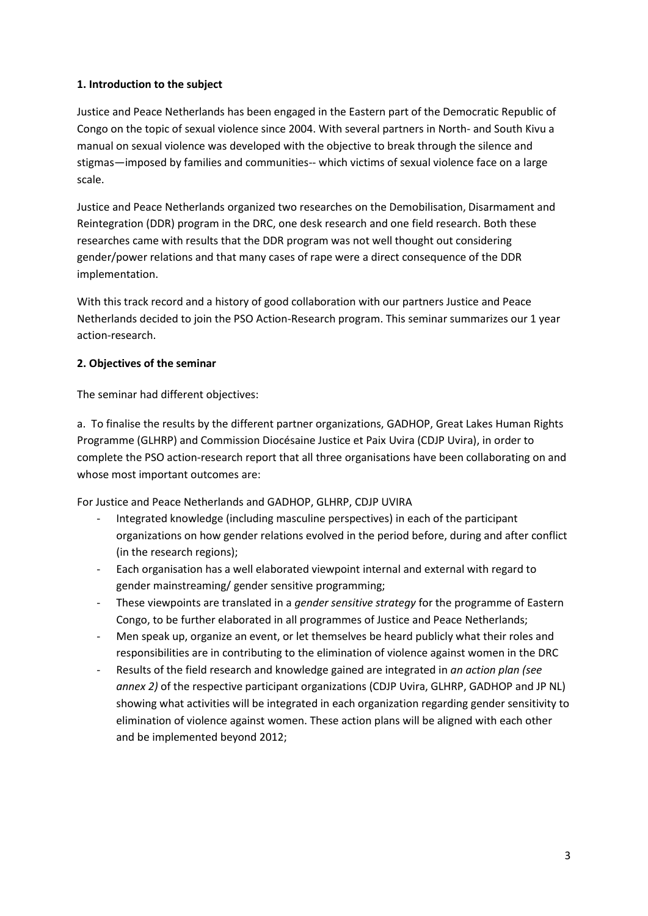## **1. Introduction to the subject**

Justice and Peace Netherlands has been engaged in the Eastern part of the Democratic Republic of Congo on the topic of sexual violence since 2004. With several partners in North- and South Kivu a manual on sexual violence was developed with the objective to break through the silence and stigmas—imposed by families and communities-- which victims of sexual violence face on a large scale.

Justice and Peace Netherlands organized two researches on the Demobilisation, Disarmament and Reintegration (DDR) program in the DRC, one desk research and one field research. Both these researches came with results that the DDR program was not well thought out considering gender/power relations and that many cases of rape were a direct consequence of the DDR implementation.

With this track record and a history of good collaboration with our partners Justice and Peace Netherlands decided to join the PSO Action-Research program. This seminar summarizes our 1 year action-research.

## **2. Objectives of the seminar**

The seminar had different objectives:

a. To finalise the results by the different partner organizations, GADHOP, Great Lakes Human Rights Programme (GLHRP) and Commission Diocésaine Justice et Paix Uvira (CDJP Uvira), in order to complete the PSO action-research report that all three organisations have been collaborating on and whose most important outcomes are:

For Justice and Peace Netherlands and GADHOP, GLHRP, CDJP UVIRA

- Integrated knowledge (including masculine perspectives) in each of the participant organizations on how gender relations evolved in the period before, during and after conflict (in the research regions);
- Each organisation has a well elaborated viewpoint internal and external with regard to gender mainstreaming/ gender sensitive programming;
- These viewpoints are translated in a *gender sensitive strategy* for the programme of Eastern Congo, to be further elaborated in all programmes of Justice and Peace Netherlands;
- Men speak up, organize an event, or let themselves be heard publicly what their roles and responsibilities are in contributing to the elimination of violence against women in the DRC
- Results of the field research and knowledge gained are integrated in *an action plan (see annex 2)* of the respective participant organizations (CDJP Uvira, GLHRP, GADHOP and JP NL) showing what activities will be integrated in each organization regarding gender sensitivity to elimination of violence against women. These action plans will be aligned with each other and be implemented beyond 2012;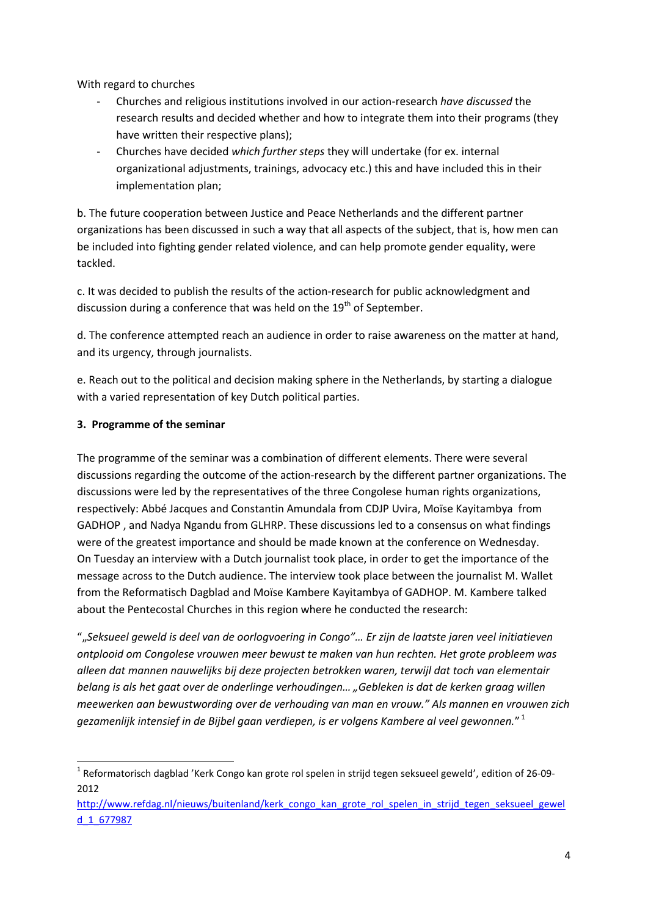With regard to churches

- Churches and religious institutions involved in our action-research *have discussed* the research results and decided whether and how to integrate them into their programs (they have written their respective plans);
- Churches have decided *which further steps* they will undertake (for ex. internal organizational adjustments, trainings, advocacy etc.) this and have included this in their implementation plan;

b. The future cooperation between Justice and Peace Netherlands and the different partner organizations has been discussed in such a way that all aspects of the subject, that is, how men can be included into fighting gender related violence, and can help promote gender equality, were tackled.

c. It was decided to publish the results of the action-research for public acknowledgment and discussion during a conference that was held on the  $19<sup>th</sup>$  of September.

d. The conference attempted reach an audience in order to raise awareness on the matter at hand, and its urgency, through journalists.

e. Reach out to the political and decision making sphere in the Netherlands, by starting a dialogue with a varied representation of key Dutch political parties.

# **3. Programme of the seminar**

The programme of the seminar was a combination of different elements. There were several discussions regarding the outcome of the action-research by the different partner organizations. The discussions were led by the representatives of the three Congolese human rights organizations, respectively: Abbé Jacques and Constantin Amundala from CDJP Uvira, Moïse Kayitambya from GADHOP , and Nadya Ngandu from GLHRP. These discussions led to a consensus on what findings were of the greatest importance and should be made known at the conference on Wednesday. On Tuesday an interview with a Dutch journalist took place, in order to get the importance of the message across to the Dutch audience. The interview took place between the journalist M. Wallet from the Reformatisch Dagblad and Moïse Kambere Kayitambya of GADHOP. M. Kambere talked about the Pentecostal Churches in this region where he conducted the research:

""*Seksueel geweld is deel van de oorlogvoering in Congo"… Er zijn de laatste jaren veel initiatieven ontplooid om Congolese vrouwen meer bewust te maken van hun rechten. Het grote probleem was alleen dat mannen nauwelijks bij deze projecten betrokken waren, terwijl dat toch van elementair belang is als het gaat over de onderlinge verhoudingen… "Gebleken is dat de kerken graag willen meewerken aan bewustwording over de verhouding van man en vrouw." Als mannen en vrouwen zich gezamenlijk intensief in de Bijbel gaan verdiepen, is er volgens Kambere al veel gewonnen.*" 1

**<sup>.</sup>** <sup>1</sup> Reformatorisch dagblad 'Kerk Congo kan grote rol spelen in strijd tegen seksueel geweld', edition of 26-09-2012

[http://www.refdag.nl/nieuws/buitenland/kerk\\_congo\\_kan\\_grote\\_rol\\_spelen\\_in\\_strijd\\_tegen\\_seksueel\\_gewel](http://www.refdag.nl/nieuws/buitenland/kerk_congo_kan_grote_rol_spelen_in_strijd_tegen_seksueel_geweld_1_677987) [d\\_1\\_677987](http://www.refdag.nl/nieuws/buitenland/kerk_congo_kan_grote_rol_spelen_in_strijd_tegen_seksueel_geweld_1_677987)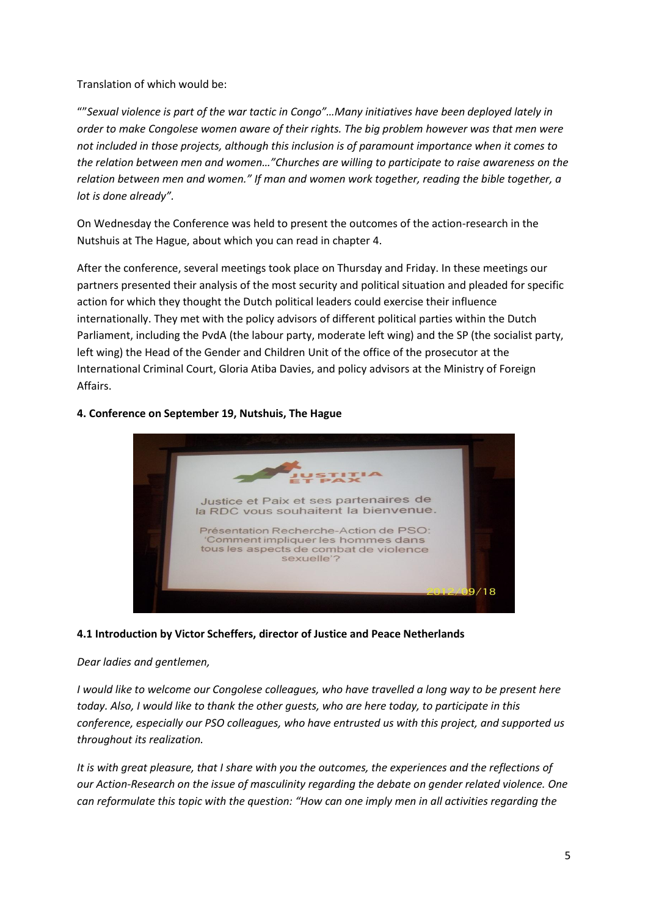Translation of which would be:

""*Sexual violence is part of the war tactic in Congo"…Many initiatives have been deployed lately in order to make Congolese women aware of their rights. The big problem however was that men were not included in those projects, although this inclusion is of paramount importance when it comes to the relation between men and women…"Churches are willing to participate to raise awareness on the relation between men and women." If man and women work together, reading the bible together, a lot is done already".*

On Wednesday the Conference was held to present the outcomes of the action-research in the Nutshuis at The Hague, about which you can read in chapter 4.

After the conference, several meetings took place on Thursday and Friday. In these meetings our partners presented their analysis of the most security and political situation and pleaded for specific action for which they thought the Dutch political leaders could exercise their influence internationally. They met with the policy advisors of different political parties within the Dutch Parliament, including the PvdA (the labour party, moderate left wing) and the SP (the socialist party, left wing) the Head of the Gender and Children Unit of the office of the prosecutor at the International Criminal Court, Gloria Atiba Davies, and policy advisors at the Ministry of Foreign Affairs.



#### **4. Conference on September 19, Nutshuis, The Hague**

#### **4.1 Introduction by Victor Scheffers, director of Justice and Peace Netherlands**

#### *Dear ladies and gentlemen,*

*I would like to welcome our Congolese colleagues, who have travelled a long way to be present here today. Also, I would like to thank the other guests, who are here today, to participate in this conference, especially our PSO colleagues, who have entrusted us with this project, and supported us throughout its realization.* 

*It is with great pleasure, that I share with you the outcomes, the experiences and the reflections of our Action-Research on the issue of masculinity regarding the debate on gender related violence. One can reformulate this topic with the question: "How can one imply men in all activities regarding the*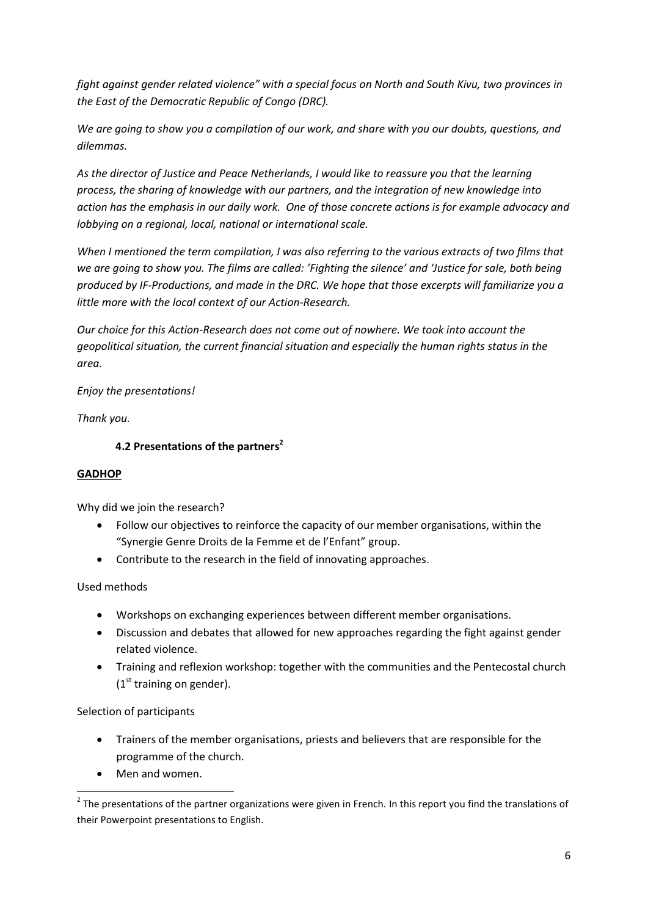*fight against gender related violence" with a special focus on North and South Kivu, two provinces in the East of the Democratic Republic of Congo (DRC).* 

*We are going to show you a compilation of our work, and share with you our doubts, questions, and dilemmas.* 

*As the director of Justice and Peace Netherlands, I would like to reassure you that the learning process, the sharing of knowledge with our partners, and the integration of new knowledge into action has the emphasis in our daily work. One of those concrete actions is for example advocacy and lobbying on a regional, local, national or international scale.*

*When I mentioned the term compilation, I was also referring to the various extracts of two films that we are going to show you. The films are called: 'Fighting the silence' and 'Justice for sale, both being produced by IF-Productions, and made in the DRC. We hope that those excerpts will familiarize you a little more with the local context of our Action-Research.* 

*Our choice for this Action-Research does not come out of nowhere. We took into account the geopolitical situation, the current financial situation and especially the human rights status in the area.* 

*Enjoy the presentations!*

*Thank you.*

# **4.2 Presentations of the partners<sup>2</sup>**

## **GADHOP**

Why did we join the research?

- Follow our objectives to reinforce the capacity of our member organisations, within the "Synergie Genre Droits de la Femme et de l'Enfant" group.
- Contribute to the research in the field of innovating approaches.

## Used methods

- Workshops on exchanging experiences between different member organisations.
- Discussion and debates that allowed for new approaches regarding the fight against gender related violence.
- Training and reflexion workshop: together with the communities and the Pentecostal church  $(1<sup>st</sup> training on gender).$

Selection of participants

**.** 

- Trainers of the member organisations, priests and believers that are responsible for the programme of the church.
- Men and women.

 $2$  The presentations of the partner organizations were given in French. In this report you find the translations of their Powerpoint presentations to English.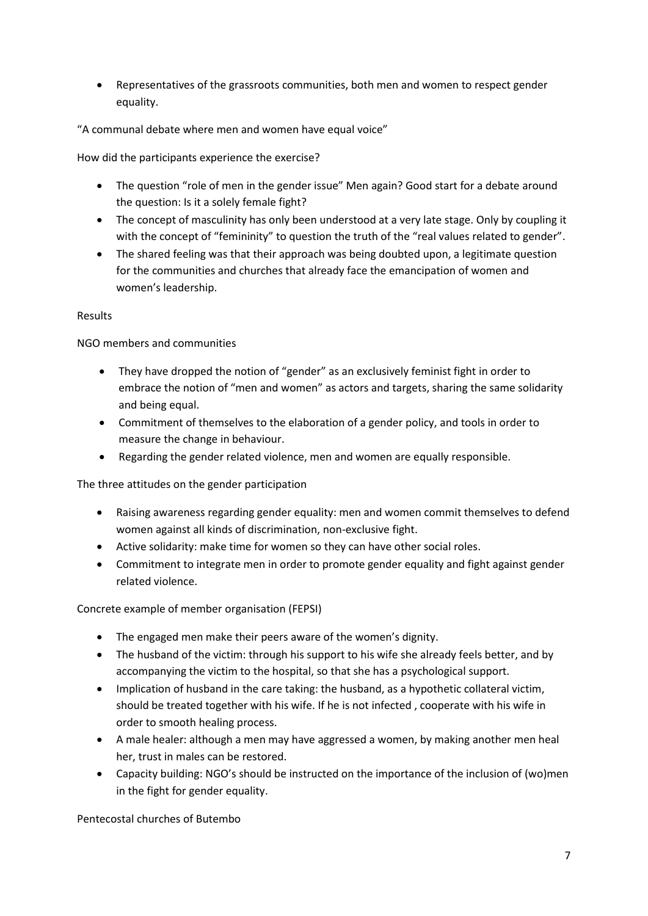Representatives of the grassroots communities, both men and women to respect gender equality.

"A communal debate where men and women have equal voice"

How did the participants experience the exercise?

- The question "role of men in the gender issue" Men again? Good start for a debate around the question: Is it a solely female fight?
- The concept of masculinity has only been understood at a very late stage. Only by coupling it with the concept of "femininity" to question the truth of the "real values related to gender".
- The shared feeling was that their approach was being doubted upon, a legitimate question for the communities and churches that already face the emancipation of women and women's leadership.

## Results

NGO members and communities

- They have dropped the notion of "gender" as an exclusively feminist fight in order to embrace the notion of "men and women" as actors and targets, sharing the same solidarity and being equal.
- Commitment of themselves to the elaboration of a gender policy, and tools in order to measure the change in behaviour.
- Regarding the gender related violence, men and women are equally responsible.

The three attitudes on the gender participation

- Raising awareness regarding gender equality: men and women commit themselves to defend women against all kinds of discrimination, non-exclusive fight.
- Active solidarity: make time for women so they can have other social roles.
- Commitment to integrate men in order to promote gender equality and fight against gender related violence.

Concrete example of member organisation (FEPSI)

- The engaged men make their peers aware of the women's dignity.
- The husband of the victim: through his support to his wife she already feels better, and by accompanying the victim to the hospital, so that she has a psychological support.
- Implication of husband in the care taking: the husband, as a hypothetic collateral victim, should be treated together with his wife. If he is not infected , cooperate with his wife in order to smooth healing process.
- A male healer: although a men may have aggressed a women, by making another men heal her, trust in males can be restored.
- Capacity building: NGO's should be instructed on the importance of the inclusion of (wo)men in the fight for gender equality.

Pentecostal churches of Butembo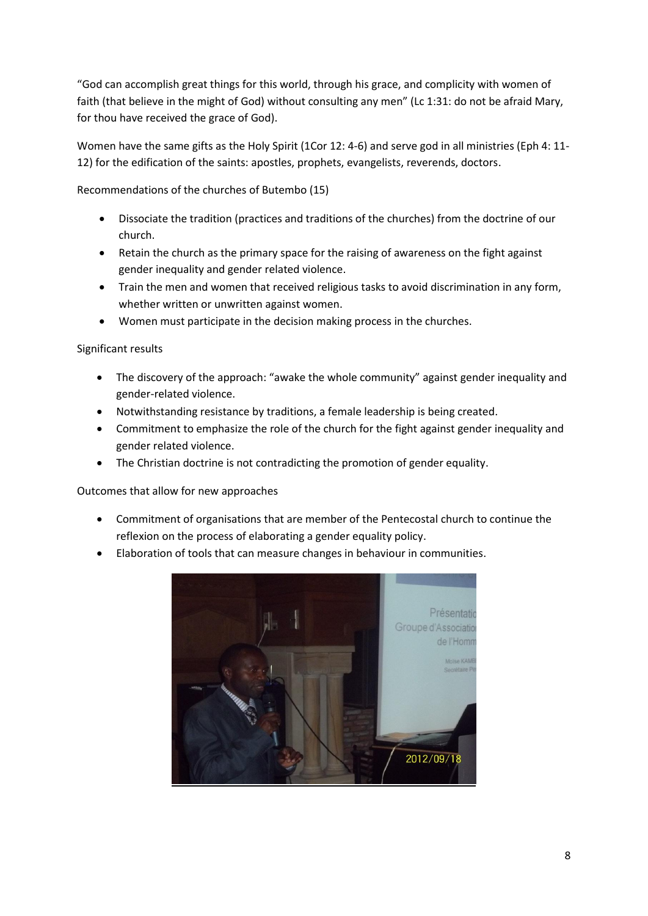"God can accomplish great things for this world, through his grace, and complicity with women of faith (that believe in the might of God) without consulting any men" (Lc 1:31: do not be afraid Mary, for thou have received the grace of God).

Women have the same gifts as the Holy Spirit (1Cor 12: 4-6) and serve god in all ministries (Eph 4: 11- 12) for the edification of the saints: apostles, prophets, evangelists, reverends, doctors.

Recommendations of the churches of Butembo (15)

- Dissociate the tradition (practices and traditions of the churches) from the doctrine of our church.
- Retain the church as the primary space for the raising of awareness on the fight against gender inequality and gender related violence.
- Train the men and women that received religious tasks to avoid discrimination in any form, whether written or unwritten against women.
- Women must participate in the decision making process in the churches.

Significant results

- The discovery of the approach: "awake the whole community" against gender inequality and gender-related violence.
- Notwithstanding resistance by traditions, a female leadership is being created.
- Commitment to emphasize the role of the church for the fight against gender inequality and gender related violence.
- The Christian doctrine is not contradicting the promotion of gender equality.

Outcomes that allow for new approaches

- Commitment of organisations that are member of the Pentecostal church to continue the reflexion on the process of elaborating a gender equality policy.
- Elaboration of tools that can measure changes in behaviour in communities.

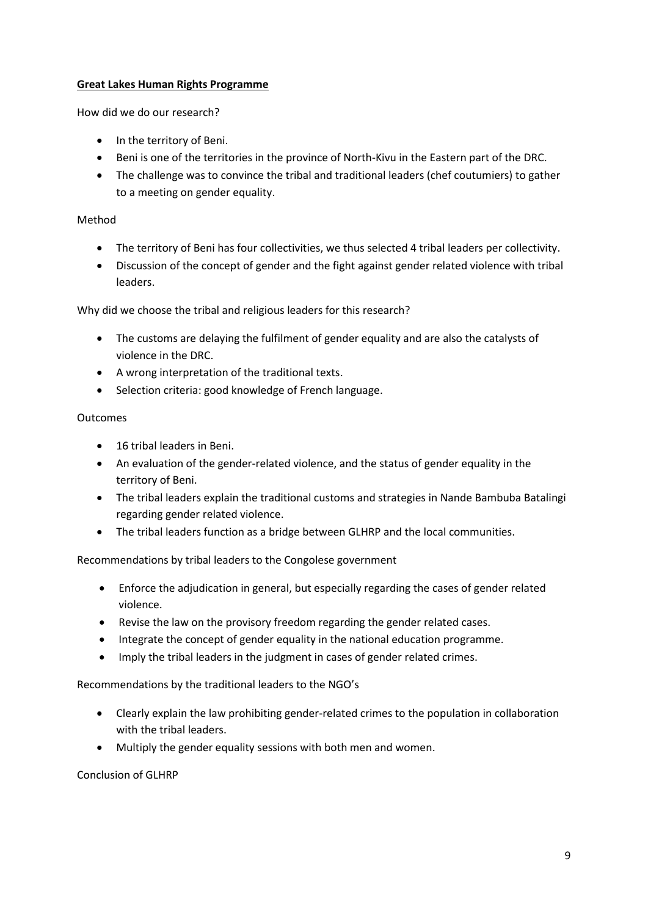## **Great Lakes Human Rights Programme**

How did we do our research?

- In the territory of Beni.
- Beni is one of the territories in the province of North-Kivu in the Eastern part of the DRC.
- The challenge was to convince the tribal and traditional leaders (chef coutumiers) to gather to a meeting on gender equality.

#### Method

- The territory of Beni has four collectivities, we thus selected 4 tribal leaders per collectivity.
- Discussion of the concept of gender and the fight against gender related violence with tribal leaders.

Why did we choose the tribal and religious leaders for this research?

- The customs are delaying the fulfilment of gender equality and are also the catalysts of violence in the DRC.
- A wrong interpretation of the traditional texts.
- Selection criteria: good knowledge of French language.

#### Outcomes

- 16 tribal leaders in Beni.
- An evaluation of the gender-related violence, and the status of gender equality in the territory of Beni.
- The tribal leaders explain the traditional customs and strategies in Nande Bambuba Batalingi regarding gender related violence.
- The tribal leaders function as a bridge between GLHRP and the local communities.

Recommendations by tribal leaders to the Congolese government

- Enforce the adjudication in general, but especially regarding the cases of gender related violence.
- Revise the law on the provisory freedom regarding the gender related cases.
- Integrate the concept of gender equality in the national education programme.
- Imply the tribal leaders in the judgment in cases of gender related crimes.

Recommendations by the traditional leaders to the NGO's

- Clearly explain the law prohibiting gender-related crimes to the population in collaboration with the tribal leaders.
- Multiply the gender equality sessions with both men and women.

Conclusion of GLHRP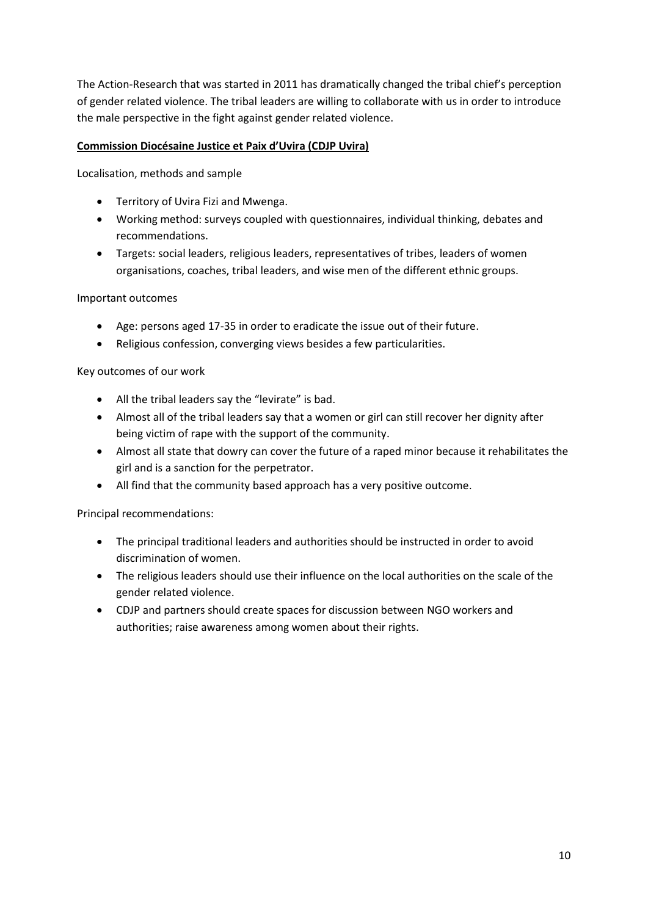The Action-Research that was started in 2011 has dramatically changed the tribal chief's perception of gender related violence. The tribal leaders are willing to collaborate with us in order to introduce the male perspective in the fight against gender related violence.

## **Commission Diocésaine Justice et Paix d'Uvira (CDJP Uvira)**

Localisation, methods and sample

- Territory of Uvira Fizi and Mwenga.
- Working method: surveys coupled with questionnaires, individual thinking, debates and recommendations.
- Targets: social leaders, religious leaders, representatives of tribes, leaders of women organisations, coaches, tribal leaders, and wise men of the different ethnic groups.

Important outcomes

- Age: persons aged 17-35 in order to eradicate the issue out of their future.
- Religious confession, converging views besides a few particularities.

Key outcomes of our work

- All the tribal leaders say the "levirate" is bad.
- Almost all of the tribal leaders say that a women or girl can still recover her dignity after being victim of rape with the support of the community.
- Almost all state that dowry can cover the future of a raped minor because it rehabilitates the girl and is a sanction for the perpetrator.
- All find that the community based approach has a very positive outcome.

Principal recommendations:

- The principal traditional leaders and authorities should be instructed in order to avoid discrimination of women.
- The religious leaders should use their influence on the local authorities on the scale of the gender related violence.
- CDJP and partners should create spaces for discussion between NGO workers and authorities; raise awareness among women about their rights.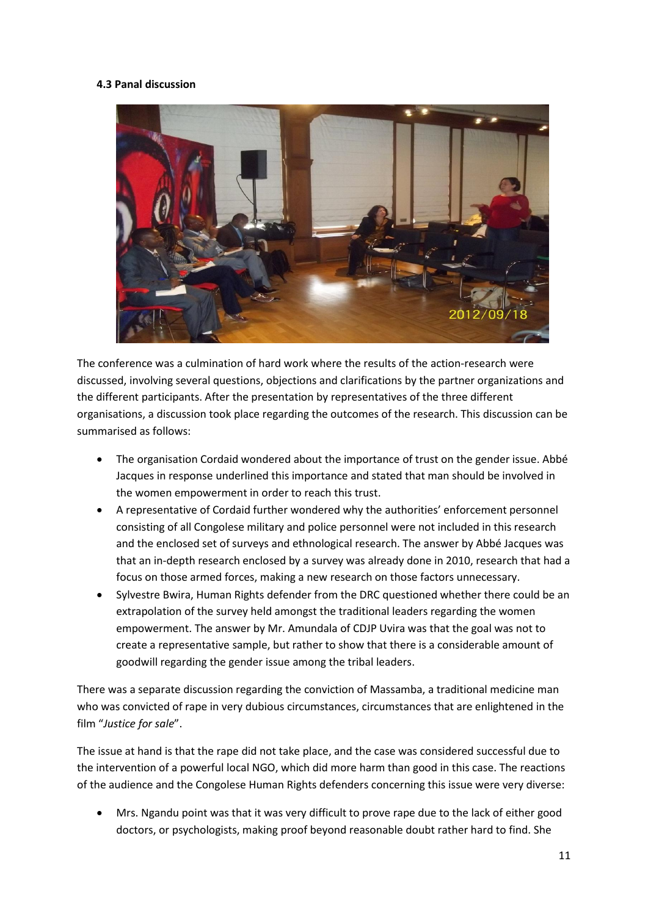## **4.3 Panal discussion**



The conference was a culmination of hard work where the results of the action-research were discussed, involving several questions, objections and clarifications by the partner organizations and the different participants. After the presentation by representatives of the three different organisations, a discussion took place regarding the outcomes of the research. This discussion can be summarised as follows:

- The organisation Cordaid wondered about the importance of trust on the gender issue. Abbé Jacques in response underlined this importance and stated that man should be involved in the women empowerment in order to reach this trust.
- A representative of Cordaid further wondered why the authorities' enforcement personnel consisting of all Congolese military and police personnel were not included in this research and the enclosed set of surveys and ethnological research. The answer by Abbé Jacques was that an in-depth research enclosed by a survey was already done in 2010, research that had a focus on those armed forces, making a new research on those factors unnecessary.
- Sylvestre Bwira, Human Rights defender from the DRC questioned whether there could be an extrapolation of the survey held amongst the traditional leaders regarding the women empowerment. The answer by Mr. Amundala of CDJP Uvira was that the goal was not to create a representative sample, but rather to show that there is a considerable amount of goodwill regarding the gender issue among the tribal leaders.

There was a separate discussion regarding the conviction of Massamba, a traditional medicine man who was convicted of rape in very dubious circumstances, circumstances that are enlightened in the film "*Justice for sale*".

The issue at hand is that the rape did not take place, and the case was considered successful due to the intervention of a powerful local NGO, which did more harm than good in this case. The reactions of the audience and the Congolese Human Rights defenders concerning this issue were very diverse:

 Mrs. Ngandu point was that it was very difficult to prove rape due to the lack of either good doctors, or psychologists, making proof beyond reasonable doubt rather hard to find. She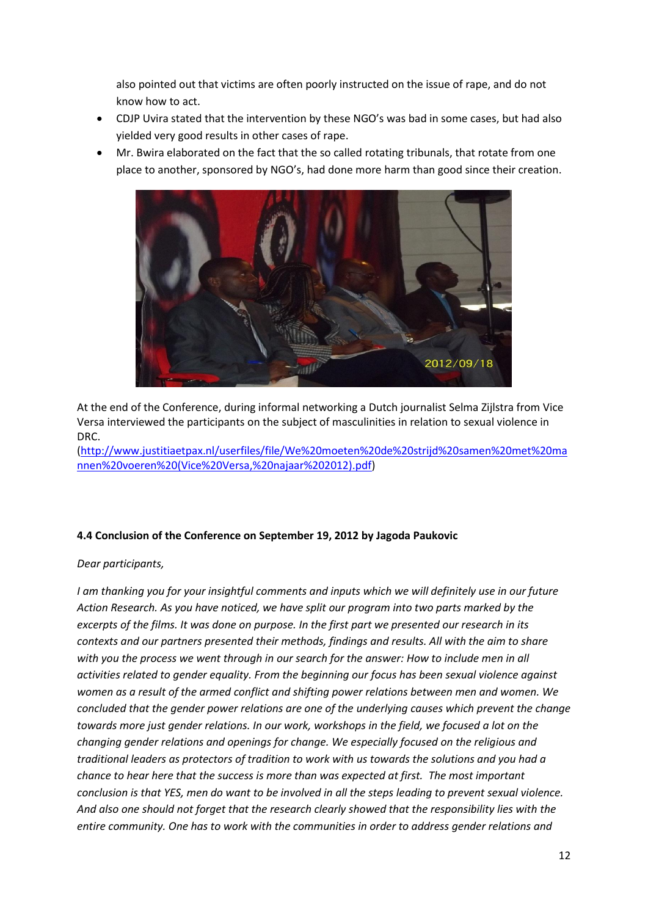also pointed out that victims are often poorly instructed on the issue of rape, and do not know how to act.

- CDJP Uvira stated that the intervention by these NGO's was bad in some cases, but had also yielded very good results in other cases of rape.
- Mr. Bwira elaborated on the fact that the so called rotating tribunals, that rotate from one place to another, sponsored by NGO's, had done more harm than good since their creation.



At the end of the Conference, during informal networking a Dutch journalist Selma Zijlstra from Vice Versa interviewed the participants on the subject of masculinities in relation to sexual violence in DRC.

[\(http://www.justitiaetpax.nl/userfiles/file/We%20moeten%20de%20strijd%20samen%20met%20ma](http://www.justitiaetpax.nl/userfiles/file/We%20moeten%20de%20strijd%20samen%20met%20mannen%20voeren%20(Vice%20Versa,%20najaar%202012).pdf) [nnen%20voeren%20\(Vice%20Versa,%20najaar%202012\).pdf\)](http://www.justitiaetpax.nl/userfiles/file/We%20moeten%20de%20strijd%20samen%20met%20mannen%20voeren%20(Vice%20Versa,%20najaar%202012).pdf)

## **4.4 Conclusion of the Conference on September 19, 2012 by Jagoda Paukovic**

## *Dear participants,*

*I am thanking you for your insightful comments and inputs which we will definitely use in our future Action Research. As you have noticed, we have split our program into two parts marked by the excerpts of the films. It was done on purpose. In the first part we presented our research in its contexts and our partners presented their methods, findings and results. All with the aim to share with you the process we went through in our search for the answer: How to include men in all activities related to gender equality. From the beginning our focus has been sexual violence against women as a result of the armed conflict and shifting power relations between men and women. We concluded that the gender power relations are one of the underlying causes which prevent the change towards more just gender relations. In our work, workshops in the field, we focused a lot on the changing gender relations and openings for change. We especially focused on the religious and traditional leaders as protectors of tradition to work with us towards the solutions and you had a chance to hear here that the success is more than was expected at first. The most important conclusion is that YES, men do want to be involved in all the steps leading to prevent sexual violence. And also one should not forget that the research clearly showed that the responsibility lies with the entire community. One has to work with the communities in order to address gender relations and*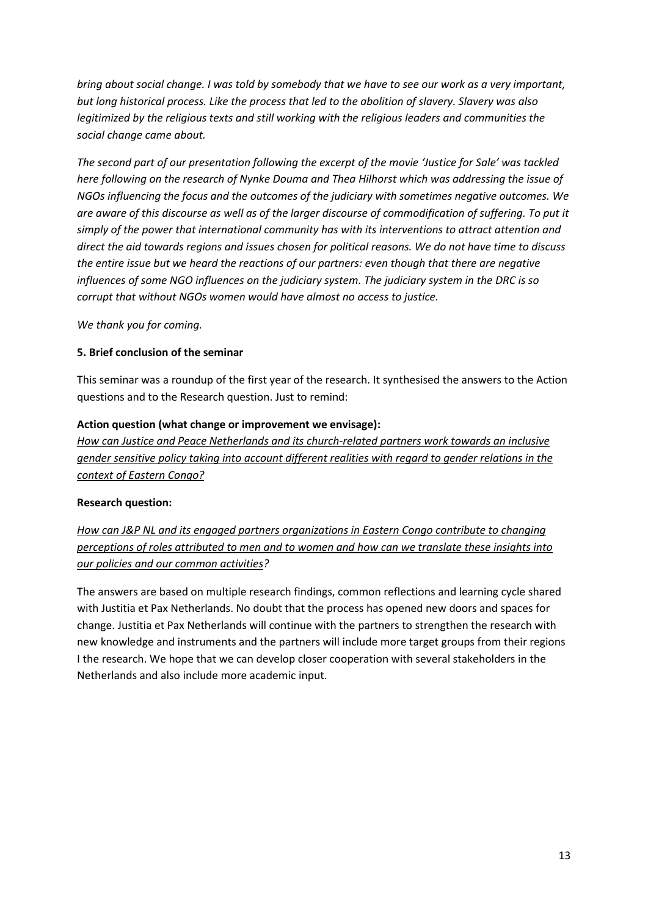*bring about social change. I was told by somebody that we have to see our work as a very important, but long historical process. Like the process that led to the abolition of slavery. Slavery was also legitimized by the religious texts and still working with the religious leaders and communities the social change came about.*

*The second part of our presentation following the excerpt of the movie 'Justice for Sale' was tackled here following on the research of Nynke Douma and Thea Hilhorst which was addressing the issue of NGOs influencing the focus and the outcomes of the judiciary with sometimes negative outcomes. We are aware of this discourse as well as of the larger discourse of commodification of suffering. To put it simply of the power that international community has with its interventions to attract attention and direct the aid towards regions and issues chosen for political reasons. We do not have time to discuss the entire issue but we heard the reactions of our partners: even though that there are negative influences of some NGO influences on the judiciary system. The judiciary system in the DRC is so corrupt that without NGOs women would have almost no access to justice.*

*We thank you for coming.*

#### **5. Brief conclusion of the seminar**

This seminar was a roundup of the first year of the research. It synthesised the answers to the Action questions and to the Research question. Just to remind:

#### **Action question (what change or improvement we envisage):**

*How can Justice and Peace Netherlands and its church-related partners work towards an inclusive gender sensitive policy taking into account different realities with regard to gender relations in the context of Eastern Congo?*

#### **Research question:**

*How can J&P NL and its engaged partners organizations in Eastern Congo contribute to changing perceptions of roles attributed to men and to women and how can we translate these insights into our policies and our common activities?*

The answers are based on multiple research findings, common reflections and learning cycle shared with Justitia et Pax Netherlands. No doubt that the process has opened new doors and spaces for change. Justitia et Pax Netherlands will continue with the partners to strengthen the research with new knowledge and instruments and the partners will include more target groups from their regions I the research. We hope that we can develop closer cooperation with several stakeholders in the Netherlands and also include more academic input.